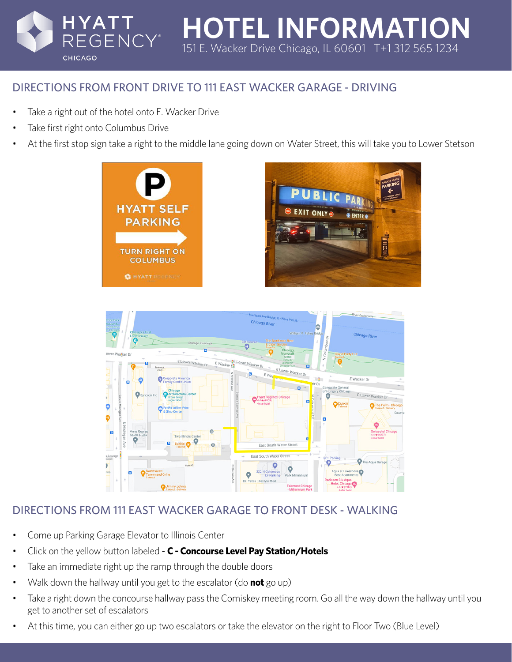# DIRECTIONS FROM FRONT DRIVE TO 111 EAST WACKER GARAGE - DRIVING

Take a right out of the hotel onto E. Wacker Drive

**EGENCY**<sup>®</sup>

Take first right onto Columbus Drive

**CHICAGO** 

HYATT

• At the first stop sign take a right to the middle lane going down on Water Street, this will take you to Lower Stetson

**HOTEL INFORMATION**

151 E. Wacker Drive Chicago, IL 60601 T+1 312 565 1234





## DIRECTIONS FROM 111 EAST WACKER GARAGE TO FRONT DESK - WALKING

- Come up Parking Garage Elevator to Illinois Center
- Click on the yellow button labeled **C Concourse Level Pay Station/Hotels**
- Take an immediate right up the ramp through the double doors
- Walk down the hallway until you get to the escalator (do **not** go up)
- Take a right down the concourse hallway pass the Comiskey meeting room. Go all the way down the hallway until you get to another set of escalators
- At this time, you can either go up two escalators or take the elevator on the right to Floor Two (Blue Level)